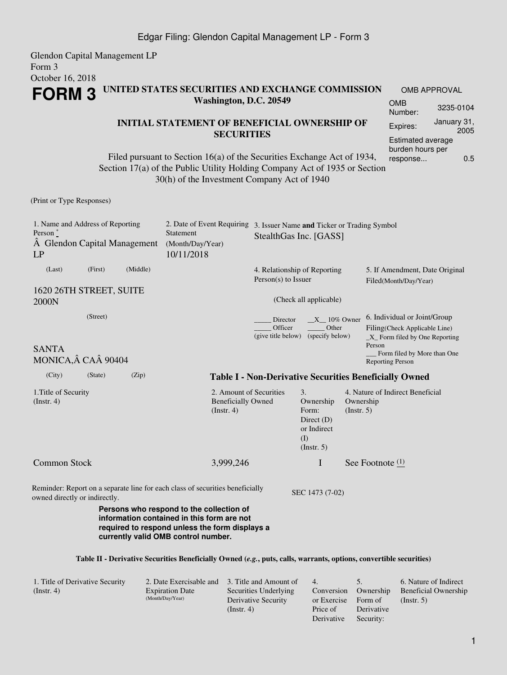## Expires: January 31, 2005 Estimated average burden hours per

response... 0.5

OMB APPROVAL

Filed pursuant to Section 16(a) of the Securities Exchange Act of 1934, Section 17(a) of the Public Utility Holding Company Act of 1935 or Section 30(h) of the Investment Company Act of 1940

**Washington, D.C. 20549**

**SECURITIES**

**FORM 3 UNITED STATES SECURITIES AND EXCHANGE COMMISSION**

(Print or Type Responses)

Glendon Capital Management LP

Form 3

October 16, 2018

| 1. Name and Address of Reporting<br>Person $*$<br>A Glendon Capital Management<br>LP |          |          | 2. Date of Event Requiring<br>Statement<br>(Month/Day/Year)<br>10/11/2018     | 3. Issuer Name and Ticker or Trading Symbol<br>StealthGas Inc. [GASS] |                                                                               |                                                         |                                                                                                            |
|--------------------------------------------------------------------------------------|----------|----------|-------------------------------------------------------------------------------|-----------------------------------------------------------------------|-------------------------------------------------------------------------------|---------------------------------------------------------|------------------------------------------------------------------------------------------------------------|
| (Last)                                                                               | (First)  | (Middle) |                                                                               | 4. Relationship of Reporting<br>$Person(s)$ to Issuer                 |                                                                               | 5. If Amendment, Date Original<br>Filed(Month/Day/Year) |                                                                                                            |
| 1620 26TH STREET, SUITE<br>2000N                                                     |          |          |                                                                               | (Check all applicable)                                                |                                                                               |                                                         |                                                                                                            |
| <b>SANTA</b>                                                                         | (Street) |          |                                                                               | Director<br>Officer<br>(give title below)                             | $X = 10\%$ Owner<br>Other<br>(specify below)                                  |                                                         | 6. Individual or Joint/Group<br>Filing(Check Applicable Line)<br>$X$ Form filed by One Reporting<br>Person |
| MONICA, CA 90404                                                                     |          |          |                                                                               |                                                                       |                                                                               |                                                         | Form filed by More than One<br><b>Reporting Person</b>                                                     |
| (City)                                                                               | (State)  | (Zip)    |                                                                               |                                                                       |                                                                               |                                                         | <b>Table I - Non-Derivative Securities Beneficially Owned</b>                                              |
| 1. Title of Security<br>(Insert. 4)                                                  |          |          | 2. Amount of Securities<br><b>Beneficially Owned</b><br>$($ Instr. 4 $)$      |                                                                       | 3.<br>Ownership<br>Form:<br>Direct $(D)$<br>or Indirect<br>(I)<br>(Insert. 5) | Ownership<br>$($ Instr. 5 $)$                           | 4. Nature of Indirect Beneficial                                                                           |
| <b>Common Stock</b>                                                                  |          |          | 3,999,246                                                                     |                                                                       | I                                                                             |                                                         | See Footnote $(1)$                                                                                         |
| owned directly or indirectly.                                                        |          |          | Reminder: Report on a separate line for each class of securities beneficially |                                                                       | SEC 1473 (7-02)                                                               |                                                         |                                                                                                            |
|                                                                                      |          |          | Persons who respond to the collection of                                      |                                                                       |                                                                               |                                                         |                                                                                                            |

### **Table II - Derivative Securities Beneficially Owned (***e.g.***, puts, calls, warrants, options, convertible securities)**

| 1. Title of Derivative Security |                        | 2. Date Exercisable and 3. Title and Amount of | $-4$ .              |                      | 6. Nature of Indirect       |
|---------------------------------|------------------------|------------------------------------------------|---------------------|----------------------|-----------------------------|
| (Insert, 4)                     | <b>Expiration Date</b> | Securities Underlying                          |                     | Conversion Ownership | <b>Beneficial Ownership</b> |
|                                 | (Month/Day/Year)       | Derivative Security                            | or Exercise Form of |                      | $($ Instr. 5 $)$            |
|                                 |                        | (Insert, 4)                                    | Price of            | Derivative           |                             |
|                                 |                        |                                                | Derivative          | Security:            |                             |

**information contained in this form are not required to respond unless the form displays a**

**currently valid OMB control number.**

- 
- Security: